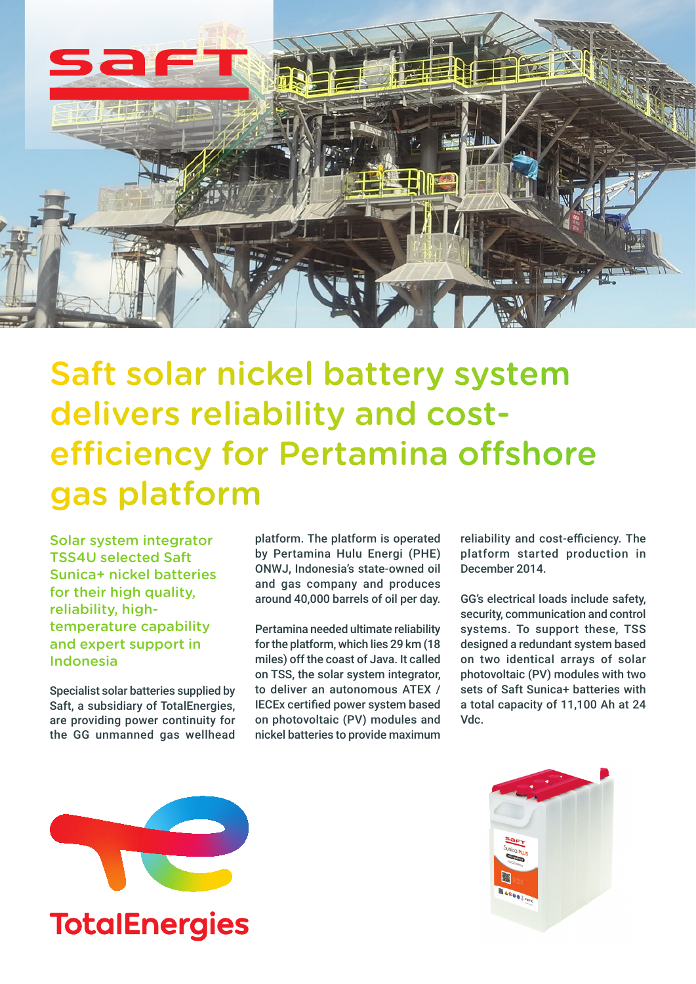

Saft solar nickel battery system delivers reliability and costefficiency for Pertamina offshore gas platform

Solar system integrator TSS4U selected Saft Sunica+ nickel batteries for their high quality. reliability, hightemperature capability and expert support in Indonesia

Specialist solar batteries supplied by Saft, a subsidiary of TotalEnergies, are providing power continuity for the GG unmanned gas wellhead

platform. The platform is operated by Pertamina Hulu Energi (PHE) ONWJ, Indonesia's state-owned oil and gas company and produces around 40,000 barrels of oil per day.

Pertamina needed ultimate reliability for the platform, which lies 29 km (18 miles) off the coast of Java. It called on TSS, the solar system integrator, to deliver an autonomous ATEX / IECEx certified power system based on photovoltaic (PV) modules and nickel batteries to provide maximum

reliability and cost-efficiency. The platform started production in December 2014.

GG's electrical loads include safety, security, communication and control systems. To support these, TSS designed a redundant system based on two identical arrays of solar photovoltaic (PV) modules with two sets of Saft Sunica+ batteries with a total capacity of 11,100 Ah at 24 Vdc.